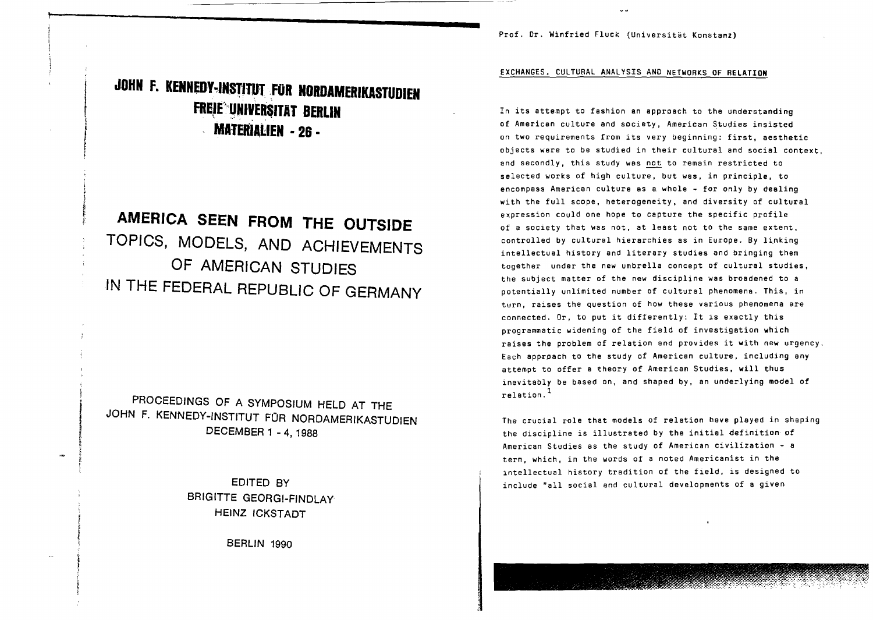Prof. Dr. Winfried Fluck (Universitat Konstanz)

## **JOHN F.** KENNEDY~IN8TJ11fI',FOR **NORDAMERIKASTUDlEN** FREIE UNIVERSITAT BERLIN **MATERIAUEN . 2& •**

I I

f f

> **AMERICA SEEN FROM THE OUTSIDE TOPICS, MODELS, AND ACHIEVEMENTS OF AMERICAN STUDIES IN THE FEDERAL REPUBLIC OF GERMANY**

PROCEEDINGS OF A SYMPOSIUM HELD AT THE JOHN F, KENNEDY-INSTITUT FOR NORDAMERIKASTUDIEN DECEMBER 1 - 4, 1988

> EDITED BY BRIGITTE GEORGI-FINDLAY HEINZ ICKSTADT

> > BERLIN 1990

EXCHANGES. CULTURAL ANALYSIS AND NETWORKS OF RELATION

In its attempt to fashion an approach to the understanding of American culture and society, American Studies insisted on two requirements from its very beginning: first, aesthetic objects were to be studied in their cultural and social context, and secondly, this study was not to remain restricted to selected works of high culture, but was, in principle, to encompass American culture as a whole  $\sim$  for only by dealing with the full scope, heterogeneity, and diversity of cultural expression could one hope to capture the specific profile of a society that was not, at least not to the same extent, controlled by cultural hierarchies as in Europe. By linking intellectual history and literary studies and bringing them together under the new umbrella concept of cultural studies, the subject matter of the new discipline was broadened to a potentially unlimited number of cultural phenomena. This, in turn, raises the question of how these various phenomena are connected. Or, to put it differently: It is exactly this programmatic widening of the field of investigation which raises the problem of relation and provides it with new urgency. Each approach to the stUdy of American culture, including any attempt to offer a theory of American Studies, will thus inevitably be based on, and shaped by, an underlying model of relation. <sup>1</sup>

The crucial role that models of relation have plaYed in shaping the discipline is illustrated by the initial definition of American Studies as the study of American civilization - a term, which, in the words of a noted Americanist in the intellectual history tradition of the field, is designed to include "all social and cultural developments of a given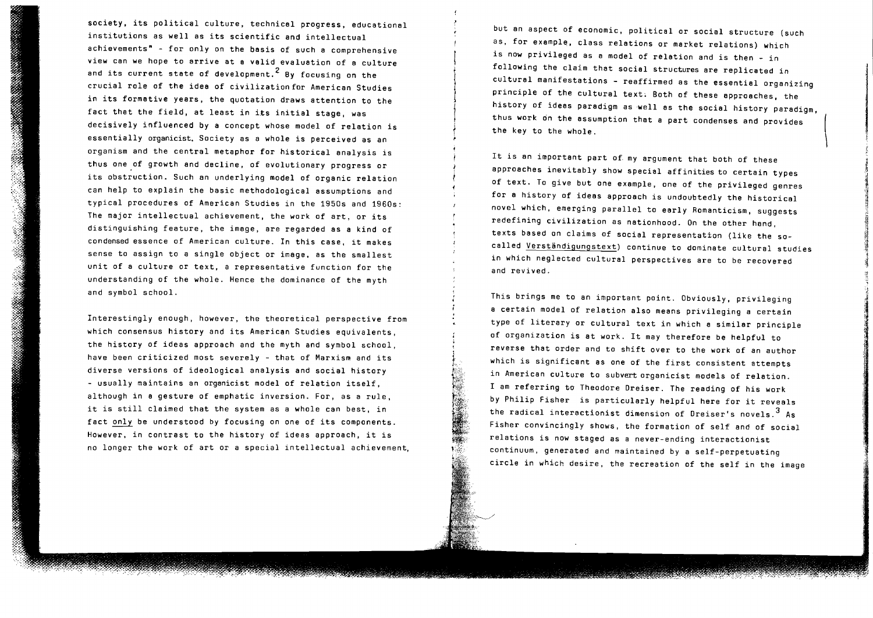society, its political culture, technical progress, educational institutions as well as its scientific and intellectual achievements" - for only on the basis of such a comprehensive view can we hope to arrive at a valid evaluation of a culture and its current state of development.  $2$  By focusing on the crucial role of the idea of civilization for American Studies in its formative years, the quotation draws attention to the fact that the field, at least in its initial stage, was decisively influenced by a concept whose model of relation is essentially organicist. Society as a whole is perceived as an organism and the central metaphor for historical analysis is thus one of growth and decline, of evolutionary progress or its obstruction. Such an underlying model of organic relation can help to explain the basic methodological assumptions and typical procedures of American Studies in the 1950s and 1960s: The major intellectual achievement, the work of art, or its distinguishing feature, the image, are regarded as a kind of condensed essence of American culture. In this case, it makes sense to assign to a single object or image, as the smallest unit of a culture or text, a representative function for the understanding of the whole. Hence the dominance of the myth and symbol school.

Interestingly enough, however, the theoretical perspective from which consensus history and its American Studies equivalents, the history of ideas approach and the myth and symbol school, have been criticized most severely - that of Marxism and its diverse versions of ideological analysis and social history - usually maintains an organicist model of relation itself, although in a gesture of emphatic inversion. For, as a rule, it is still claimed that the system as <sup>a</sup> whole can best, in fact only be understood by focusing on one of its components. However, in contrast to the history of ideas approach, it is no longer the work of art or a special intellectual achievement, but an aspect of economic, pOlitical or social structure (such as, for example, class relations or market relations) which is now privileged as a model of relation and is then - in following the claim that social structures are replicated in cultural manifestations - reaffirmed as the essential organizing principle of the cultural text, Both of these approaches, the history of ideas paradigm as well as the social history paradigm, thus work on the assumption that a part condenses and provides the key to the whole.

! I

.~

.~ JI ii , the

i.

it

J~

It is an important part of my argument that both of these approaches inevitably show special affinities to certain types of text. To give but one example, one of the privileged genres for a history of ideas approach is undoubtedly the historical novel which, emerging parallel to early Romanticism, suggests redefining civilization as nationhood. On the other hand, texts based on claims of social representation (like the socalled Verständigungstext) continue to dominate cultural studies in which neglected cultural perspectives are to be recovered and revived.

This brings me to an important point. Obviously, privileging a certain model of relation also means privileging a certain type of literary or cultural text in which a similar principle of organization is at work. It may therefore be helpful to reverse that order and to shift over to the work of an author which is significant as one of the first consistent attempts in American culture to subvert organicist models of relation. I am referring to Theodore Dreiser. The reading of his work by Philip Fisher is particularly helpful here for it reveals the radical interactionist dimension of Dreiser's novels.  $3\text{ As}$ Fisher convincingly shows, the formation of self and of social relations is now staged as a never-ending interactionist continuum, generated and maintained by a self-perpetuating circle in which desire, the recreation of the self in the image

23. 橘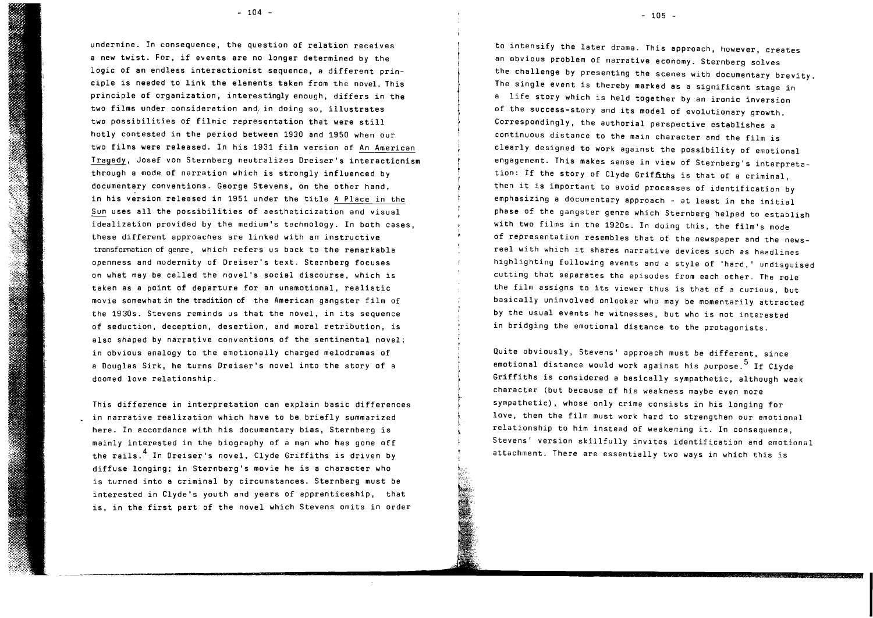$- 104 -$ 

undermine. In consequence, the question of relation receives <sup>a</sup> new twist. For, if events are no longer determined by the logic of an endless interactionist sequence, a different principle is needed to link the elements taken from the novel. This principle of organization, interestingly enough, differs in the two films under consideration and in doing so, illustrates two possibilities of filmic representation that were still hotly contested in the period between 1930 and 1950 when our two films were released. In his 1931 film version of An American Tragedy, Josef von Sternberg neutralizes Dreiser's interactionism through a mode of narration which is strongly influenced by documentary conventions. George Stevens, on the other hand, in his version released in <sup>1951</sup> under the title <sup>A</sup> Place in the Sun uses all the possibilities of aestheticization and visual idealization provided by the medium's technology. In both cases, these different approaches are linked with an instructive transformation of genre, which refers us back to the remarkable openness and modernity of Dreiser's text. Sternberg focuses on what may be called the novel's social discourse, which is taken as <sup>a</sup> point of departure for an unemotional, realistic movie somewhat in the tradition of the American gangster film of the 1930s. Stevens reminds us that the novel, in its sequence of seduction, deception, desertion, and moral retribution, is also shaped by narrative conventions of the sentimental novel; in obvious analogy to the emotionally charged melodramas of a Oouglas Sirk, he turns Dreiser's novel into the story of a doomed love relationship.

This difference in interpretation can explain basic differences in narrative realization which have to be. briefly summarized here. In accordance with his documentary bias, Sternberg is mainly interested in the biography of a man who has gone off the rails.<sup>4</sup> In Dreiser's novel, Clyde Griffiths is driven by diffuse longing; in Sternberg's movie he is a character who is turned into a criminal by circumstances. Sternberg must be interested in Clyde's youth and years of apprenticeship, that is, in the first part of the novel which Stevens omits in order

to intensify the later drama. This approach, however, creates an obvious problem of narrative economy. Sternberg solves the challenge by presenting the scenes with documentary brevity. The single event is thereby marked as a significant stage in <sup>a</sup> life story which is held together by an ironic inversion of the success-story and its model of evolutionary growth. Correspondingly, the authorial perspective establishes a continuous distance to the main character and the film is clearly designed to work against the possibility of emotional engagement. This makes sense in view of Sternberg's interpretation: If the story of Clyde Griffiths is that of a criminal, then it is important to avoid processes of identification by emphasizing <sup>a</sup> documentary approach - at least in the initial phase of the gangster genre which Sternberg helped to establish with two films in the 1920s. In doing this, the film's mode of representation resembles that of the newspaper and the newsreel with which it shares narrative devices such as headlines highlighting following events and a style of 'hard,' undisguised cutting that separates the episodes from each other. The role the film assigns to its viewer thus is that of <sup>a</sup> curious, but basically uninvolved onlooker who may be momentarily attracted by the usual events he witnesses, but who is not interested in bridging the emotional distance to the protagonists.

Quite obviously, Stevens' approach must be different, since emotional distance would work against his purpose.  $5$  If Clyde Griffiths is considered a basically sympathetic, although weak character (but because of his weakness maybe even more sympathetic), whose only crime consists in his longing for love, then the film must work hard to strengthen our emotional relationship to him instead of weakening it. In consequence, Stevens' version skillfully invites identification and emotional attachment. There are essentially two ways in which this is

I

i

t t  $- 105 -$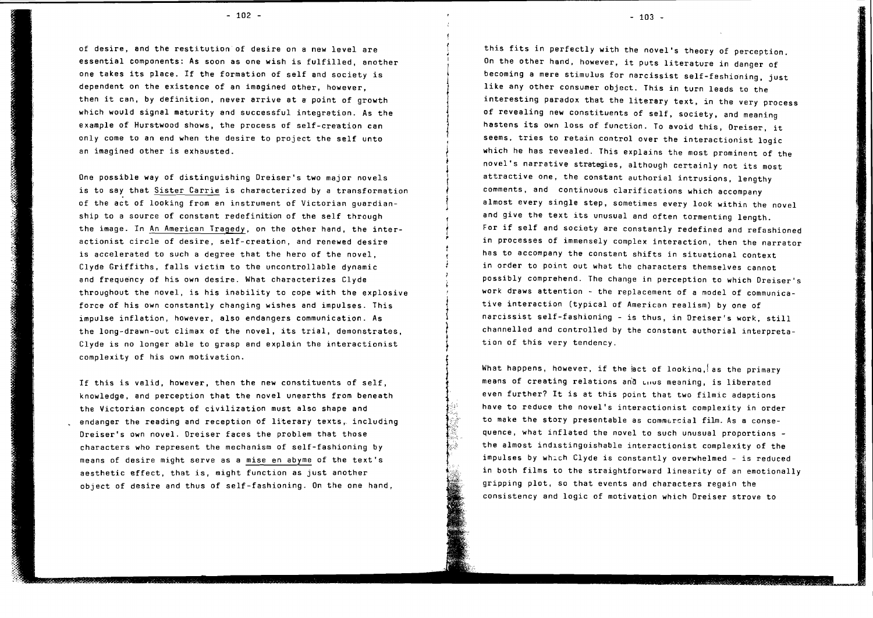of desire, and the restitution of desire on a new level are essential components: As soon as one wish is fulfilled, another one takes its place. If the formation of self and society is dependent on the existence of an imagined other, however, then it can, by definition, never arrive at point of growth which would signal maturity and successful integration. As the example of Hurstwood shows, the process of self-creation can only come to an end when the desire to project the self unto an imagined other is exhausted.

One possible way of distinguishing Oreiser's two major novels is to say that Sister Carrie is characterized by <sup>a</sup> transformation of the act of looking from an instrument of Victorian guardianship to a source of constant redefinition of the self through the image. In An American Tragedy, on the other hand, the interactionist circle of desire, self-creation, and renewed desire is accelerated to such a degree that the hero of the novel, Clyde Griffiths, falls victim to the uncontrollable dynamic and frequency of his own desire. What characterizes Clyde throughout the novel, is his inability to cope with the explosive force of his own constantly changing wishes and impulses. This impulse inflation, however, also endangers communication. As the long-drawn-out climax of the novel, its trial, demonstrates, Clyde is no longer able to grasp and explain the interactionist complexity of his own motivation.

If this is valid, however, then the new constituents of self, knowledge, and perception that the novel unearths from beneath the Victorian concept of civilization must also shape and endanger the reading and reception of literary texts, including Dreiser's own novel. Dreiser faces the problem that those characters who represent the mechanism of self-fashioning by means of desire might serve as <sup>a</sup> mise en abyme of the text's aesthetic effect, that is, might function as just another object of desire and thus of self-fashioning. On the one hand,

 $- 103 -$ 

this fits in perfectly with the novel's theory of perception. On the other hand, however, it puts literature in danger of becoming a mere stimulus for narcissist self-fashioning, just like any other consumer object. This in turn leads to the interesting paradox that the literary text, in the very process of revealing new constituents of self, society, and meaning hastens its own loss of function. To avoid this, Dreiser, it seems, tries to retain control over the interactionist logic which he has revealed. This explains the most prominent of the novel's narrative strategies, although certainly not its most attractive one, the constant authorial intrusions, lengthy comments, and continuous clarifications which accompany almost every single step, sometimes every look within the novel and give the text its unusual and often tormenting length. For if self and society are constantly redefined and refashioned in processes of immensely complex interaction, then the narrator has to accompany the constant shifts in situational context in order to point out what the characters themselves cannot possibly comprehend. The change in perception to which Dreiser's work draws attention - the replacement of a model of communicative interaction (typical of American realism) by one of narcissist self-fashioning - is thus, in Dreiser's work, still channelled and controlled by the constant authorial interpretation of this very tendency.

What happens, however, if the act of looking, as the primary means of creating relations and thus meaning, is liberated even further? It is at this point that two filmic adaptions have to reduce the novel's interactionist complexity in order to make the story presentable as commercial film. As a consequence, what inflated the novel to such unusual proportions the almost ind1stinguishable interactionist complexity of the impulses by which Clyde is constantly overwhelmed - is reduced in both films to the straightforward linearity of an emotionally gripping plot, so that events and characters regain the consistency and logic of motivation which Dreiser strove to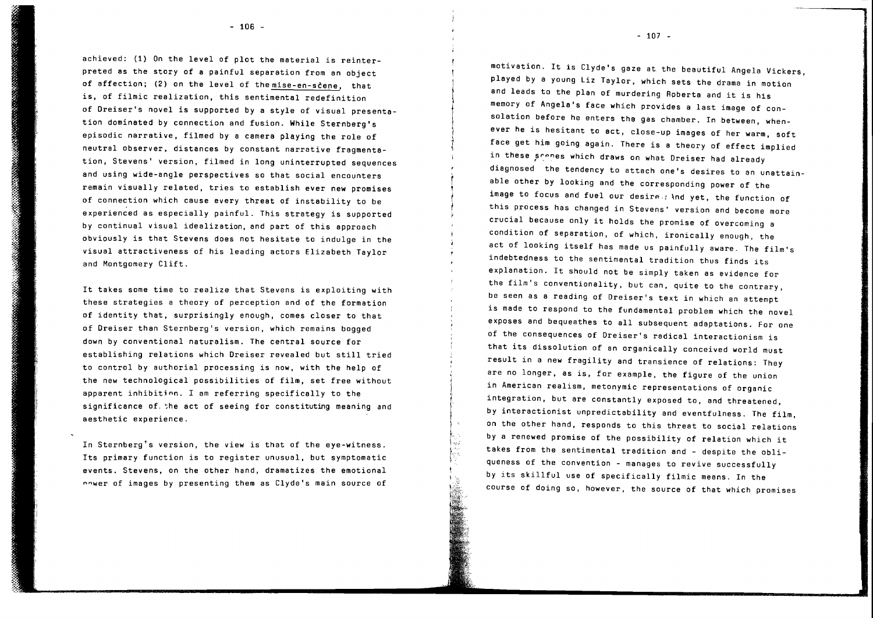achieved: (1) On the level of plot the material is reinterpreted as the story of a painful separation from an object of affection; (2) on the level of the mise-en-scene, that is, of filmic realization, this sentimental redefinition of Oreiser's novel is supported by <sup>a</sup> style of visual presentation dominated by connection and fusion. While Sternberg's episodic narrative, filmed by a camera playing the role of neutral observer, distances by constant narrative fragmentation, Stevens' version, filmed in long uninterrupted sequences and using wide-angle perspectives so that social encounters remain visually related, tries to establish ever new promises of connection which cause every threat of instability to be experienced as especially painful. This strategy is supported by continual visual idealization, and part of this approach obviously is that Stevens does not hesitate to indulge in the visual attractiveness of his leading actors Elizabeth Taylor and Montgomery Clift.

It takes some time to realize that Stevens is exploiting with these strategies a theory of perception and of the formation of identity that, surprisingly enough, comes closer to that of Oreiser than Sternberg's version, which remains bogged down by conventional naturalism. The central source for establishing relations which Oreiser revealed but still tried to control by authorial processing is now, with the help of the new technological possibilities of film, set free without apparent inhibitjnn. I am referring specifically to the significance of, ~he act of seeing for constituting meaning and aesthetic experience.

In Sternberg's version, the view is that of the eye-witness. Its primary function is to register unusual, but symptomatic events. Stevens, on the other hand, dramatizes the emotional nnwer of images by presenting them as Clyde's main source of

motivation. It is Clyde's gaze at. the beautiful Angela Vickers, played by a young Liz Taylor, which sets the drama in motion and leads to the plan of murdering Roberta and it is his memory of Angela's face which provides a last image of consolation before he enters the gas chamber. In between, whenever he is hesitant to act, close-up images of her warm, soft face get him going again. There is a theory of effect implied in these scenes which draws on what Dreiser had already diagnosed the tendency to attach one's desires to an unattainable other by looking and the corresponding power of the image to focus and fuel our desire  $\#$  and yet, the function of this process has changed in Stevens' version and become more crucial because only it holds the promise of overcoming <sup>a</sup> condition of separation, of which, ironically enough, the act of looking itself has made us painfully aware. The film's indebtedness to the sentimental tradition thus finds its explanation. It should not be simply taken as evidence for the film's conventionality, but can, quite to the contrary, be seen as a reading of Dreiser's text in which an attempt is made to respond to the fundamental problem which the novel exposes and bequeathes to all subsequent adaptations. For one of the consequences of Dreiser's radical interactionism is that its dissolution of an organically conceived world must result in a new fragility and transience of relations: They are no longer, as is, for example, the figure of the union in American realism, metonymic representations of organic integration, but are constantly exposed to, and threatened, by interactionist unpredictability and eventfulness. The film, on the other hand, responds to this threat to social relations by <sup>a</sup> renewed promise of the possibility of relation which it takes from the sentimental tradition and - despite the obliqueness of the convention - manages to revive successfully by its skillful use of specifically filmic means. In the course of doing so, however, the source of that which promises

f } I . ! . I i

 $-107 -$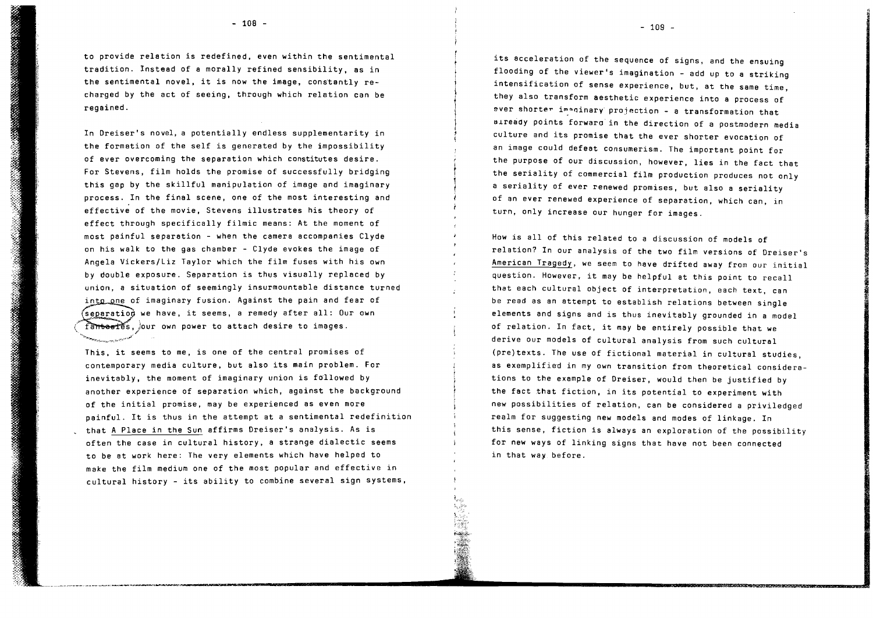to provide relation is redefined, even within the sentimental tradition. Instead of a morally refined sensibility, as in the sentimental novel, it is now the image, constantly recharged by the act of seeing, through which relation can be regained.

In Dreiser's novel, a potentially endless supplementarity in the formation of the self is generated by the impossibility of ever overcoming the separation which constitutes desire. For Stevens, film holds the promise of successfully bridging this gap by the skillful manipulation of image and imaginary process. In the final scene, one of the most interesting and effective of the movie, Stevens illustrates his theory of effect through specifically filmic means: At the moment of most painful separation - when the camera accompanies Clyde on his walk to the gas chamber - Clyde evokes the image of Angela Vickers/Liz Taylor which the film fuses with his own by double exposure. Separation is thus visually replaced by by bouble exposure. Separation is thus visually replaced by<br>union, a situation of seemingly insurmountable distance turned<br>i<u>nto on</u>e of imaginary fusion. Against the pain and fear of  $\ell$ separatiod we have, it seems, a remedy after all: Our own fante ries, our own power to attach desire to images.

This, it seems to me, is one of the central promises of contemporary media culture, but also its main problem. For inevitably, the moment of imaginary union is followed by another experience of separation which, against the background of the initial promise, may be experienced as even more painful. It is thus in the attempt at <sup>a</sup> sentimental redefinition that A Place in the Sun affirms Dreiser's analysis. As is often the case in cultural history, a strange dialectic seems to be at work here: The very elements which have helped to make the film medium one of the most popular and effective in cultural history - its ability to combine several sign systems,

\_\_\_\_\_\_\_\_\_. ~.~.."""""\_.\_..."""""""\_,,\_~.. **<sup>1</sup> "''''-11 =**

"~'\'-.~",,,,;...,,,,~~.-,~;..,.,,.'::~,~,,'

its acceleration of the sequence of signs, and the ensuing flooding of the viewer's imagination - add up to a striking intensification of sense experience, but, at the same time, they also transform aesthetic experience into a process of ever shorter imaginary projection - a transformation that aiready points forward in the direction of a postmodern media culture and its promise that the ever shorter evocation of an image could defeat consumerism. The important point for the purpose of our discussion, however, lies in the fact that the seriality of commercial film production produces not only a seriality of ever renewed promises, but also a seriality of an ever renewed experience of separation, which can, in turn, only increase our hunger for images.

How is all of this related to a discussion of models of relation? In our analysis of the two film versions of Dreiser's American Tragedy, we seem to have drifted away from our initial question. However, it may be helpful at this point to recall that each cultural object of interpretation, each text, can be read as an attempt to establish relations between single elements and signs and is thus inevitably grounded in a model of relation. In fact, it may be entirely possible that we derive our models of cultural analysis from such cultural (pre)texts. The use of fictional material in cultural studies, as exemplified in my own transition from theoretical considerations to the example of Oreiser, would then be justified by the fact that fiction, in its potential to experiment with new possibilities of relation, can be considered a priviledged realm for suggesting new models and modes of linkage. In this sense, fiction is always an exploration of the possibility for new ways of linking signs that have not been connected in that way before.

- 109 -

**Wanters**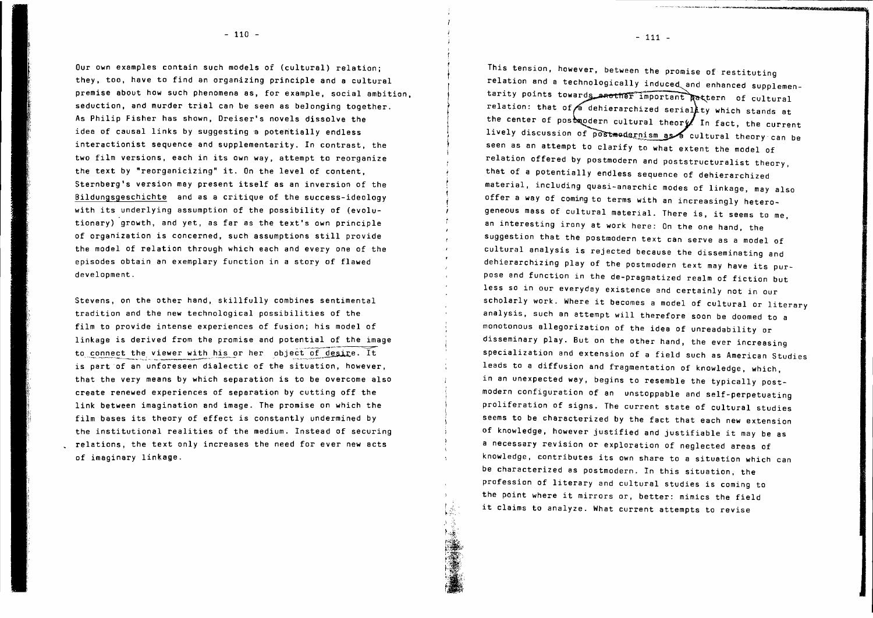Our own examples contain such models of (cultural) relation; they, too, have to find an organizing principle and a cultural premise about how such phenomena as, for example, social ambition, seduction, and murder trial can be seen as belonging together. As Philip Fisher has shown, Dreiser's novels dissolve the idea of causal links by suggesting a potentially endless interactionist sequence and supplementarity. In contrast, the two film versions, each in its own way, attempt to reorganize the text by "reorganicizing" it. On the level of content, Sternberg's version may present itself as an inversion of the Bildungsgeschichte and as a critique of the success-ideology with its underlying assumption of the possibility of (evolutionary) growth, and yet, as far as the text's own principle of organization is concerned, such assumptions still provide the model of relation through which each and everyone of the episodes obtain an exemplary function in a story of flawed development.

Stevens, on the other hand, skillfully combines sentimental tradition and the new technological possibilities of the film to provide intense experiences of fusion; his model of linkage is derived from the promise and potential of the image to connect the viewer with his or her object of desire. It is part of an unforeseen dialectic of the situation, however, that the very means by which separation is to be overcome also create renewed experiences of separation by cutting off the link between imagination and image. The promise on which the film bases its theory of effect is constantly undermined by the institutional realities of the medium. Instead of securing relations, the text only increases the need for ever new acts of imaginary linkage.

This tension, however, between the promise of restituting relation and a technologically induced and enhanced supplementarity points towards another important Rettern of cultural relation: that of  $\bigwedge$  dehierarchized serial ty which stands at the center of postmodern cultural theor $\mathscr{U}$  In fact, the current lively discussion of postmodernism as a cultural theory can be seen as an attempt to clarify to what extent the model of relation offered by postmodern and poststructuralist theory, that of a potentially endless sequence of dehierarchized material, including quasi-anarchic modes of linkage, may also offer a way of coming to terms with an increasingly heterogeneous mass of cultural material. There is, it seems to me, an interesting irony at work here: On the one hand, the suggestion that the postmodern text can serve as a model of cultural analysis is rejected because the disseminating and dehierarchizing play of the postmodern text may have its purpose and function in the de-pragmatized realm of fiction but less so in our everyday existence and certainly not in our scholarly work. Where it becomes <sup>a</sup> model of cultural or literary analysis, such an attempt will therefore soon be doomed to a monotonous allegorization of the idea of unreadability or disseminary play. But on the other hand, the ever increasing specialization and extension of a field such as American Studies leads to a diffusion and fragmentation of knowledge, which, in an unexpected way, begins to resemble the typically postmodern configuration of an unstoppable and self-perpetuating proliferation of signs. The current state of cultural studies seems to be charaeterized by the fact that each new extension of knowledge, however justified and justifiable it may be as a necessary revision or exploration of neglected areas of knowledge, contributes its own share to <sup>a</sup> situation which can be characterized as postmodern. In this situation, the profession of literary and cultural studies is coming to the point where it mirrors or, better: mimics the field it claims to analyze. What current attempts to revise

 $-111 -$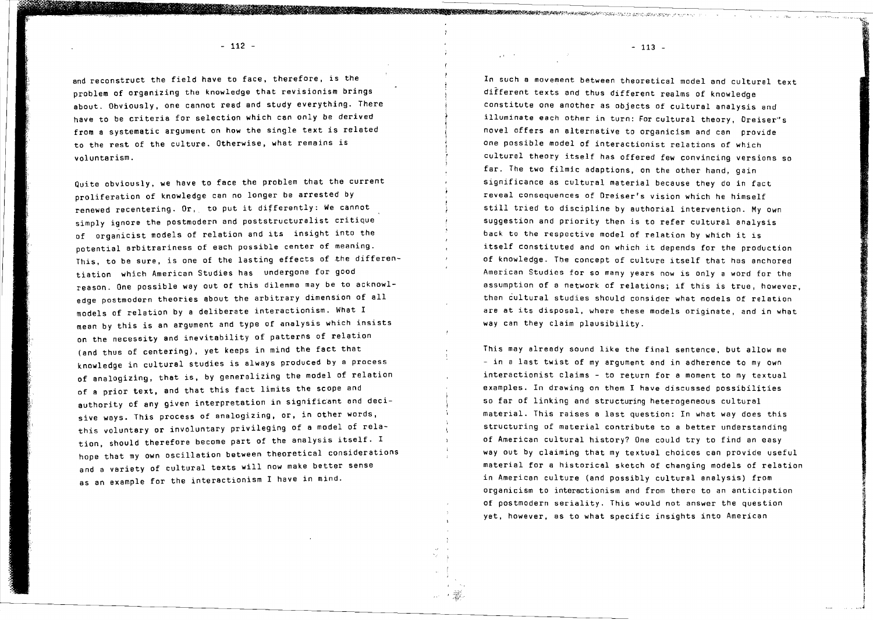- 112 - 113 - 113 - 113 - 113 - 113 - 113 - 113 - 113 - 113 - 113 - 113 - 113 - 113 - 113 - 113 - 113 - 113 - 1

and reconstruct the field have to face, therefore, is the problem of organizing the knowledge that revisionism brings about. Obviously, one cannot read and study everything. There have to be criteria for selection which can only be derived from <sup>a</sup> systematic argument on how the single text is related to the rest of the culture. Otherwise, what remains is voluntarism.

Quite obviously, we have to face the problem that the current proliferation of knowledge can no longer be arrested by renewed recentering. Or, to put it differently: We cannot simply ignore the postmodern and poststructuralist critique of organicist models of relation and its insight into the potential arbitrariness of each possible center of meaning. This, to be sure, is one of the lasting effects of the differentiation which American Studies has undergone for good reason. One possible way out of this dilemma may be to acknowledge postmodern theories about the arbitrary dimension of all models of relation by a deliberate interactionism. What I mean by this is an argument and type of analysis which insists on the necessity and inevitability of patterns of relation (and thus of centering), yet keeps in mind the fact that knowledge in cultural studies is always produced by a process of analogizing, that is, by generalizing the model of relation of a prior text, and that this fact limits the scope and authority of any given interpretation in significant and decisive ways. This process of analogizing, or, in other words, this voluntary or involuntary privileging of a model of relation, should therefore become part of the analysis itself. <sup>I</sup> hope that my own oscillation between theoretical considerations and a variety of cultural texts will now make better sense as an example for the interactionism I have in mind.

In such a movement between theoretical model and cultural text different texts and thus different realms of knowledge constitute one another as objects of cultural analysis and illuminate each other in turn: For cultural theory, Dreiser"'s novel offers an alternative to organicism and can provide one possible model of interactionist relations of which cultural theory itself has offered few convincing versions so far. The two filmic adaptions, on the other hand, gain significance as cultural material because they do in fact reveal cOnsequences of Oreiser's vision which he himself still tried to discipline by authorial intervention. My own suggestion and priority then is to refer cultural analysis back to the respective model of relation by which it is itself constituted and on which it depends for the production of knowledge. The concept of culture itself that has anchored American Studies for so many years now is only a word for the assumption of <sup>a</sup> network of relations; if this is true, however, then cultural studies should consider what models of relation are at its disposal, where these models originate, and in what way can they claim plausibility.

This may already sound like the final sentence, but allow me - in a last twist of my argument and in adherence to my own interactionist claims - to return for a moment to my textual examples. In drawing on them I have discussed possibilities so far of linking and structuring heterogeneous cultural material. This raises a last question: In what way does this structuring of material contribute to a better understanding of American cultural history? One could try to find an easy way out by claiming that my textual choices can provide useful material for a historical sketch of changing models of relation in American culture (and possibly cultural analysis) from organicism to interactionism and from there to an anticipation of postmodern seriality. This would not answer the question yet, however, as to what specific insights into American

**iccosts** Ii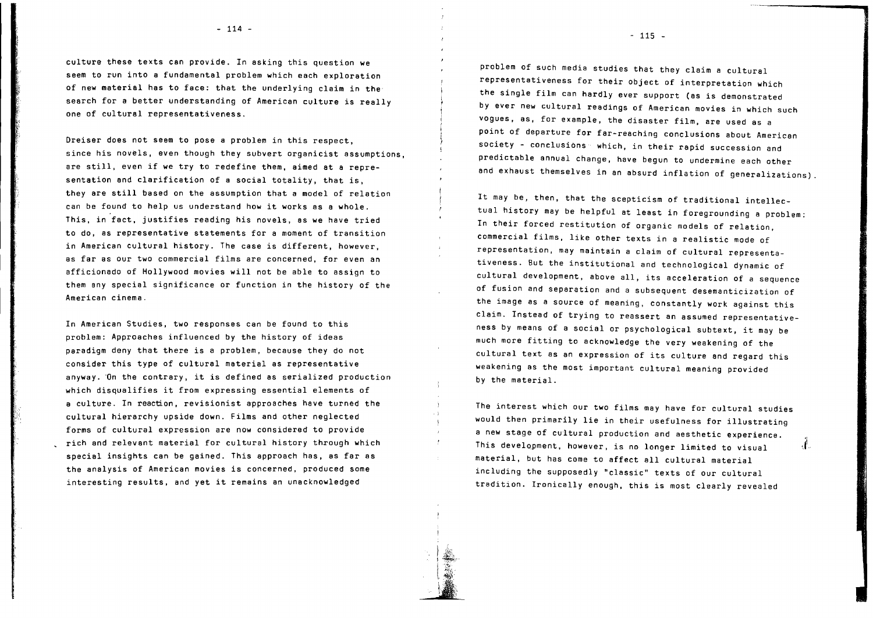culture these texts can provide. In asking this question we seem to run into a fundamental problem which each exploration of new material has to face: that the underlying claim in the search for a better understanding of American culture is really one of cultural representativeness.

if

Dreiser does not seem to pose a problem in this respect, since his novels, even though they subvert organicist assumptions, are still, even if we try to redefine them, aimed at <sup>a</sup> representation and clarification of <sup>a</sup> social totality, that is, they are still based on the assumption that <sup>a</sup> model of relation can be found to help us understand how it works as <sup>a</sup> whole. This, in fact, justifies reading his novels, as we have tried to do, as representative statements for a moment of transition in American cultural history. The case is different, however, as far as our two commercial films are concerned, for even an afficionado of Hollywood movies will not be able to assign to them any special significance or function in the history of the American cinema.

In American Studies, two responses can be found to this problem: Approaches influenced by the history of ideas paradigm deny that there is a problem, because they do not consider this type of cultural material as representative anyway. On the contrary, it is defined as serialized production which disqualifies it from expressing essential elements of a culture. In reaction, revisionist approaches have turned the cultural hierarchy upside down. Films and other neglected forms of cultural expression are now considered to provide rich and relevant material for cultural history through which special insights can be gained. This approach has, as far as the analysis of American movies is concerned, produced some interesting results, and yet it remains an unacknowledged

- 114 - **115** - 115 - 115 - 115 - 115 - 115 - 115 - 115 - 115 - 115 - 115 - 115 - 115 - 115 - 115 - 115 - 115 - 115 - 115 - 115 - 115 - 115 - 115 - 115 - 115 - 115 - 115 - 115 - 115 - 115 - 115 - 115 - 115 - 115 - 115 - 11

problem of such media studies that they claim a cultural representativeness for their object of interpretation which the single film can hardly ever support (as is demonstrated by ever new cultural readings of American movies in which such vogues, as, for example, the disaster film, are used as a point of departure for far-reaching conclusions about American society - conclusions which, in their rapid succession and predictable annual change, have begun to undermine each other and exhaust themselves in an absurd inflation of generalizations)

It may be, then, that the scepticism of traditional intellectual history may be helpful at least in foregrounding a problem: In their forced restitution of organic models of relation, commercial films, like other texts in a realistic mode of representation, may maintain a claim of cultural representativeness. But the institutional and technological dynamic of cultural development, above all, its acceleration of <sup>a</sup> sequence of fusion and separation and a subsequent desemanticization of the image as a source of meaning, constantly work against this claim. Instead of trying to reassert an assumed representativeness by means of <sup>a</sup> social or psychological subtext, it may be much more fitting to acknowledge the very weakening of the cultural text as an expression of its culture and regard this weakening as the most important cultural meaning provided by the material.

The interest which our two films may have for cultural studies would then primarily lie in their usefulness for illustrating a new stage of cultural production and aesthetic experience. This development, however, is no longer limited to visual material, but has come to affect all cultural material including the supposedly "classic" texts of our cultural tradition. Ironically enough, this is most clearly revealed

 $\mathbf{J}$ 

r~.... l·.~.·· JA;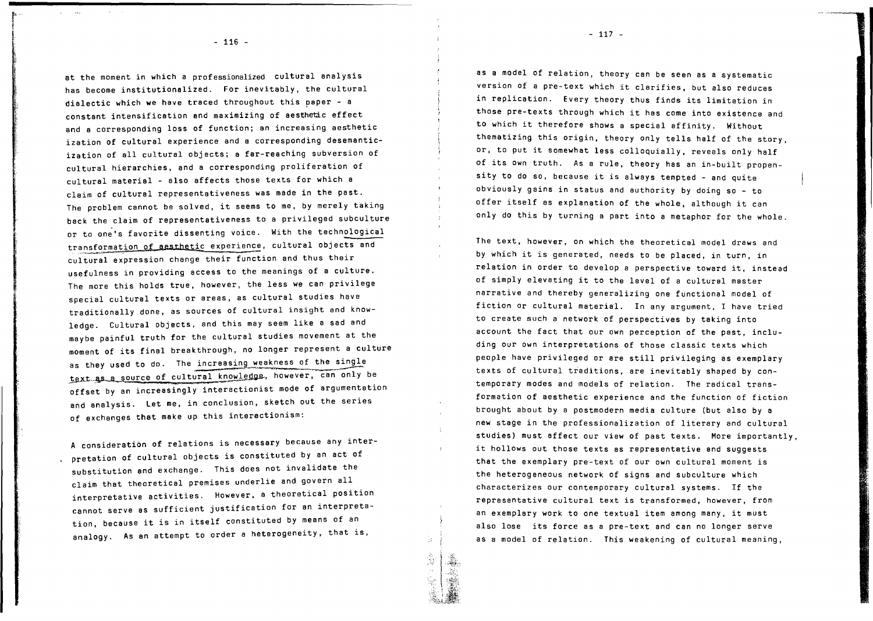- 116 -

f'

at the moment in which a professionalized cultural analysis has become institutionalized. For inevitably, the cultural dialectic which we have traced throughout this paper - a constant intensification and maximizing of aesthetic effect and a corresponding loss of function; an increasing aesthetic ization of cultural experience and a corresponding desemanticization of all cultural objects; a far-reaching subversion of cultural hierarchies, and a corresponding proliferation of cultural material - also affects those texts for which a claim of cultural representativeness was made in the past. The problem cannot be solved, it seems to me, by merely taking back the claim of representativeness to a privileged subculture or to one's favorite dissenting voice. With the technological transformation of aesthetic experience, cultural objects and cultural expression change their function and thus their usefulness in providing access to the meanings of a culture. The more this holds true, however, the less we can privilege special cultural texts or areas, as cultural studies have traditionally done, as sources of cultural insight and knowledge. Cultural objects, and this may seem like a sad and maybe painful truth for the cultural studies movement at the moment of its final breakthrough, no longer represent <sup>a</sup> culture as they used to do. The increasing weakness of the single text as a source of cultural knowledge, however, can only be offset by an increasingly interactionist mode of argumentation and analysis. Let me, in conclusion, sketch out the series of exchanges that make up this interactionism:

A consideration of relations is necessary because any interpretation of cultural objects is constituted by an act of substitution and exchange. This does not invalidate the claim that theoretical premises underlie and govern all interpretative activities. However, a theoretical position cannot serve as sufficient justification for an interpretation, because it is in itself constituted by means of an analogy. As an attempt to order a heterogeneity, that is,

as a model of relation, theory can be seen as a systematic version of <sup>a</sup> pre-text which it clarifies, but also reduces in replication. Every theory thus finds its limitation in those pre-texts through which it has come into existence and to which it therefore shows <sup>a</sup> special affinity. Without thematizing this origin, theory only tells half of the story, or, to put it somewhat less colloquially, reveals only half of its own truth. As <sup>a</sup> rule, theory has an in-built propensity to do so, because it is always tempted - and quite obviously gains in status and authority by doing so - to offer itself as explanation of the whole, although it can only do this by turning a part into a metaphor for the whole.

The text, however, on which the theoretical model draws and by which it is generated, needs to be placed, in turn, in relation in order to develop a perspective toward it, instead of simply elevating it to the level of <sup>a</sup> cultural master narrative and thereby generalizing one functional mOdel of fiction or cultural material. In any argument, I have tried to create such a network of perspectives by taking into account the fact that our own perception of the past, including our own interpretations of those classic texts which people have privileged or are still privileging as exemplary texts of cultural traditions, are inevitably shaped by contemporary modes and models of relation. The radical transformation of aesthetic experience and the function of fiction brought about by a postmodern media culture (but also by a new stage in the professionalization of literary and cultural studies) must affect our view of past texts. More importantly, it hollows out those texts as representative and suggests that the exemplary pre-text of our own cultural moment is the heterogeneous network of signs and subculture which characterizes our contemporary cultural systems. If the representative cultural text is transformed, however, from an exemplary work to one textual item among many, it must also lose its force as <sup>a</sup> pre-text and can no longer serve as a model of relation. This weakening of cultural meaning,

- 117 -